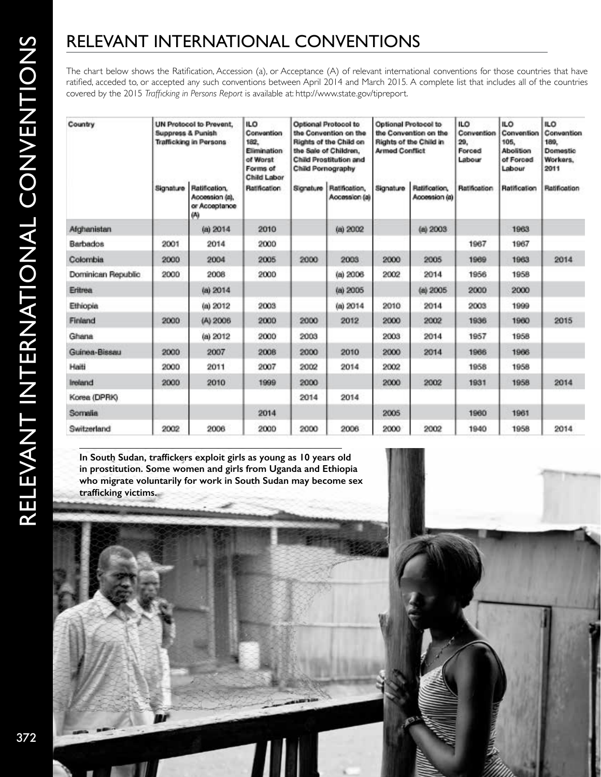# RELEVANT INTERNATIONAL CONVENTIONS

The chart below shows the Ratification, Accession (a), or Acceptance (A) of relevant international conventions for those countries that have ratified, acceded to, or accepted any such conventions between April 2014 and March 2015*.* A complete list that includes all of the countries covered by the 2015 *Trafficking in Persons Report* is available at: [http://www.state.gov/tipreport](http://www.state.gov/j/tip/rls/tiprpt/2015/index.htm).

| Country            | UN Protocol to Prevent.<br>Suppress & Punish<br>Trafficking in Persons |                                                        | <b>ILO</b><br>Convention<br>182.<br><b>Elimination</b><br>of Worst<br>Forms of<br>Child Labor | Optional Protocol to<br>the Convention on the<br>Rights of the Child on<br>the Sale of Children,<br><b>Child Prostitution and</b><br>Child Pornography |                                | Optional Protocol to<br>the Convention on the<br>Rights of the Child in<br><b>Armed Conflict</b> |                                | <b>ILO</b><br>Convention<br>29.<br>Forced<br>Labour | ILO.<br>Convention<br>105.<br>Abolition<br>of Forced<br>Labour | ILO.<br>Convention<br>189.<br>Domestic<br>Workers.<br>2011 |
|--------------------|------------------------------------------------------------------------|--------------------------------------------------------|-----------------------------------------------------------------------------------------------|--------------------------------------------------------------------------------------------------------------------------------------------------------|--------------------------------|--------------------------------------------------------------------------------------------------|--------------------------------|-----------------------------------------------------|----------------------------------------------------------------|------------------------------------------------------------|
|                    | Signature                                                              | Ratification,<br>Accession (a),<br>or Acceptance<br>tЮ | <b>Ratification</b>                                                                           | Signature                                                                                                                                              | Ratification,<br>Accession (a) | Signature                                                                                        | Ratification,<br>Accession (a) | Ratification                                        | Ratification                                                   | Ratification                                               |
| Afghanistan        |                                                                        | (a) 2014                                               | 2010                                                                                          |                                                                                                                                                        | (a) 2002                       |                                                                                                  | (a) 2003                       |                                                     | 1963                                                           |                                                            |
| Barbados           | 2001                                                                   | 2014                                                   | 2000                                                                                          |                                                                                                                                                        |                                |                                                                                                  |                                | 1967                                                | 1967                                                           |                                                            |
| Colombia           | 2000                                                                   | 2004                                                   | 2005                                                                                          | 2000                                                                                                                                                   | 2003                           | 2000                                                                                             | 2005                           | 1969                                                | 1963                                                           | 2014                                                       |
| Dominican Republic | 2000                                                                   | 2008                                                   | 2000                                                                                          |                                                                                                                                                        | (a) 2006                       | 2002                                                                                             | 2014                           | 1956                                                | 1958                                                           |                                                            |
| Eritrea            |                                                                        | (a) 2014                                               |                                                                                               |                                                                                                                                                        | (a) 2005                       |                                                                                                  | (a) 2005                       | 2000                                                | 2000                                                           |                                                            |
| Ethiopia           |                                                                        | (a) 2012                                               | 2003                                                                                          |                                                                                                                                                        | (a) 2014                       | 2010                                                                                             | 2014                           | 2003                                                | 1999                                                           |                                                            |
| Finland            | 2000                                                                   | (A) 2006                                               | 2000                                                                                          | 2000                                                                                                                                                   | 2012                           | 2000                                                                                             | 2002                           | 1936                                                | 1960                                                           | 2015                                                       |
| Ghana              |                                                                        | (a) 2012                                               | 2000                                                                                          | 2003                                                                                                                                                   |                                | 2003                                                                                             | 2014                           | 1957                                                | 1958                                                           |                                                            |
| Guinea-Bissau      | 2000                                                                   | 2007                                                   | 2008                                                                                          | 2000                                                                                                                                                   | 2010                           | 2000                                                                                             | 2014                           | 1966                                                | 1966                                                           |                                                            |
| Haiti              | 2000                                                                   | 2011                                                   | 2007                                                                                          | 2002                                                                                                                                                   | 2014                           | 2002                                                                                             |                                | 1958                                                | 1958                                                           |                                                            |
| Ireland            | 2000                                                                   | 2010                                                   | 1999                                                                                          | 2000                                                                                                                                                   |                                | 2000                                                                                             | 2002                           | 1931                                                | 1958                                                           | 2014                                                       |
| Korea (DPRK)       |                                                                        |                                                        |                                                                                               | 2014                                                                                                                                                   | 2014                           |                                                                                                  |                                |                                                     |                                                                |                                                            |
| Somalia            |                                                                        |                                                        | 2014                                                                                          |                                                                                                                                                        |                                | 2005                                                                                             |                                | 1960                                                | 1961                                                           |                                                            |
| Switzerland        | 2002                                                                   | 2006                                                   | 2000                                                                                          | 2000                                                                                                                                                   | 2006                           | 2000                                                                                             | 2002                           | 1940                                                | 1958                                                           | 2014                                                       |

**In South Sudan, traffickers exploit girls as young as 10 years old in prostitution. Some women and girls from Uganda and Ethiopia who migrate voluntarily for work in South Sudan may become sex trafficking victims.**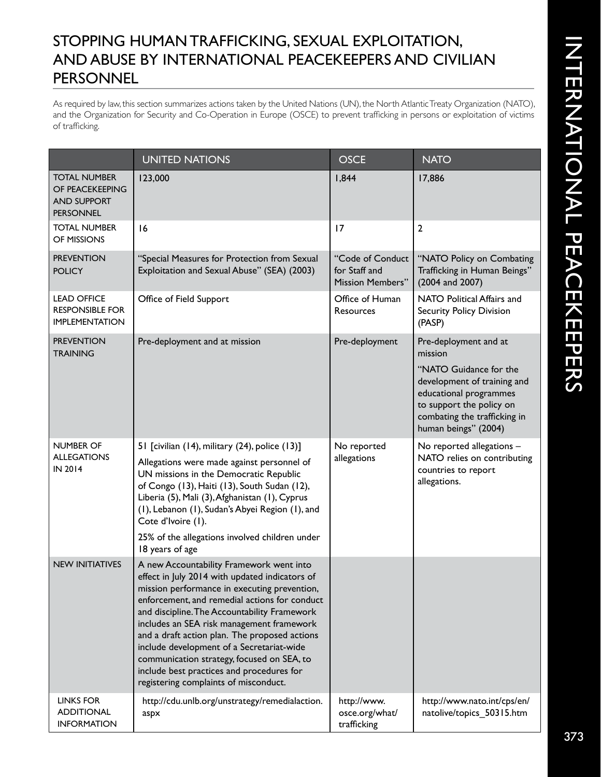## STOPPING HUMAN TRAFFICKING, SEXUAL EXPLOITATION, AND ABUSE BY INTERNATIONAL PEACEKEEPERS AND CIVILIAN PERSONNEL

As required by law, this section summarizes actions taken by the United Nations (UN), the North Atlantic Treaty Organization (NATO), and the Organization for Security and Co-Operation in Europe (OSCE) to prevent trafficking in persons or exploitation of victims of trafficking.

|                                                                                  | <b>UNITED NATIONS</b>                                                                                                                                                                                                                                                                                                                                                                                                                                                                                                      | <b>OSCE</b>                                                  | <b>NATO</b>                                                                                                                                                                                             |
|----------------------------------------------------------------------------------|----------------------------------------------------------------------------------------------------------------------------------------------------------------------------------------------------------------------------------------------------------------------------------------------------------------------------------------------------------------------------------------------------------------------------------------------------------------------------------------------------------------------------|--------------------------------------------------------------|---------------------------------------------------------------------------------------------------------------------------------------------------------------------------------------------------------|
| <b>TOTAL NUMBER</b><br>OF PEACEKEEPING<br><b>AND SUPPORT</b><br><b>PERSONNEL</b> | 123,000                                                                                                                                                                                                                                                                                                                                                                                                                                                                                                                    | 1,844                                                        | 17,886                                                                                                                                                                                                  |
| <b>TOTAL NUMBER</b><br>OF MISSIONS                                               | 16                                                                                                                                                                                                                                                                                                                                                                                                                                                                                                                         | 17                                                           | $\mathbf{2}$                                                                                                                                                                                            |
| <b>PREVENTION</b><br><b>POLICY</b>                                               | "Special Measures for Protection from Sexual<br>Exploitation and Sexual Abuse" (SEA) (2003)                                                                                                                                                                                                                                                                                                                                                                                                                                | "Code of Conduct<br>for Staff and<br><b>Mission Members"</b> | "NATO Policy on Combating<br>Trafficking in Human Beings"<br>(2004 and 2007)                                                                                                                            |
| <b>LEAD OFFICE</b><br><b>RESPONSIBLE FOR</b><br><b>IMPLEMENTATION</b>            | Office of Field Support                                                                                                                                                                                                                                                                                                                                                                                                                                                                                                    | Office of Human<br>Resources                                 | NATO Political Affairs and<br><b>Security Policy Division</b><br>(PASP)                                                                                                                                 |
| <b>PREVENTION</b><br><b>TRAINING</b>                                             | Pre-deployment and at mission                                                                                                                                                                                                                                                                                                                                                                                                                                                                                              | Pre-deployment                                               | Pre-deployment and at<br>mission<br>"NATO Guidance for the<br>development of training and<br>educational programmes<br>to support the policy on<br>combating the trafficking in<br>human beings" (2004) |
| <b>NUMBER OF</b><br><b>ALLEGATIONS</b><br>IN 2014                                | 51 [civilian (14), military (24), police (13)]<br>Allegations were made against personnel of<br>UN missions in the Democratic Republic<br>of Congo (13), Haiti (13), South Sudan (12),<br>Liberia (5), Mali (3), Afghanistan (1), Cyprus<br>(1), Lebanon (1), Sudan's Abyei Region (1), and<br>Cote d'Ivoire (1).<br>25% of the allegations involved children under<br>18 years of age                                                                                                                                     | No reported<br>allegations                                   | No reported allegations -<br>NATO relies on contributing<br>countries to report<br>allegations.                                                                                                         |
| <b>NEW INITIATIVES</b>                                                           | A new Accountability Framework went into<br>effect in July 2014 with updated indicators of<br>mission performance in executing prevention,<br>enforcement, and remedial actions for conduct<br>and discipline. The Accountability Framework<br>includes an SEA risk management framework<br>and a draft action plan. The proposed actions<br>include development of a Secretariat-wide<br>communication strategy, focused on SEA, to<br>include best practices and procedures for<br>registering complaints of misconduct. |                                                              |                                                                                                                                                                                                         |
| <b>LINKS FOR</b><br><b>ADDITIONAL</b><br><b>INFORMATION</b>                      | http://cdu.unlb.org/unstrategy/remedialaction.<br>aspx                                                                                                                                                                                                                                                                                                                                                                                                                                                                     | http://www.<br>osce.org/what/<br>trafficking                 | http://www.nato.int/cps/en/<br>natolive/topics_50315.htm                                                                                                                                                |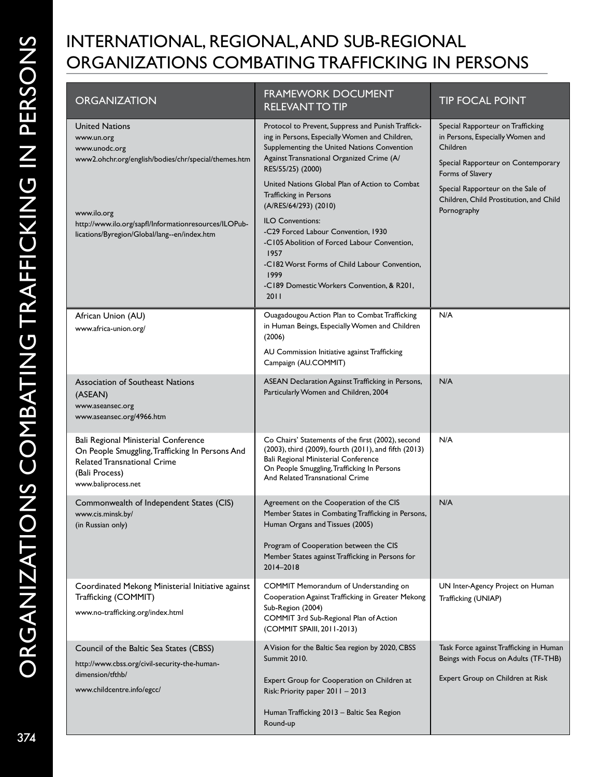## INTERNATIONAL, REGIONAL, AND SUB-REGIONAL ORGANIZATIONS COMBATING TRAFFICKING IN PERSONS

| <b>ORGANIZATION</b>                                                                                                                                                    | <b>FRAMEWORK DOCUMENT</b><br><b>RELEVANT TO TIP</b>                                                                                                                                                                                                                                                      | <b>TIP FOCAL POINT</b>                                                                                                                                                                                                      |
|------------------------------------------------------------------------------------------------------------------------------------------------------------------------|----------------------------------------------------------------------------------------------------------------------------------------------------------------------------------------------------------------------------------------------------------------------------------------------------------|-----------------------------------------------------------------------------------------------------------------------------------------------------------------------------------------------------------------------------|
| <b>United Nations</b><br>www.un.org<br>www.unodc.org<br>www2.ohchr.org/english/bodies/chr/special/themes.htm                                                           | Protocol to Prevent, Suppress and Punish Traffick-<br>ing in Persons, Especially Women and Children,<br>Supplementing the United Nations Convention<br>Against Transnational Organized Crime (A/<br>RES/55/25) (2000)<br>United Nations Global Plan of Action to Combat<br><b>Trafficking in Persons</b> | Special Rapporteur on Trafficking<br>in Persons, Especially Women and<br>Children<br>Special Rapporteur on Contemporary<br>Forms of Slavery<br>Special Rapporteur on the Sale of<br>Children, Child Prostitution, and Child |
| www.ilo.org<br>http://www.ilo.org/sapfl/Informationresources/ILOPub-<br>lications/Byregion/Global/lang--en/index.htm                                                   | (A/RES/64/293) (2010)<br><b>ILO Conventions:</b><br>-C29 Forced Labour Convention, 1930<br>-C105 Abolition of Forced Labour Convention,<br>1957<br>-C182 Worst Forms of Child Labour Convention,<br>1999<br>-C189 Domestic Workers Convention, & R201,<br>2011                                           | Pornography                                                                                                                                                                                                                 |
| African Union (AU)<br>www.africa-union.org/                                                                                                                            | Ouagadougou Action Plan to Combat Trafficking<br>in Human Beings, Especially Women and Children<br>(2006)<br>AU Commission Initiative against Trafficking<br>Campaign (AU.COMMIT)                                                                                                                        | N/A                                                                                                                                                                                                                         |
| <b>Association of Southeast Nations</b><br>(ASEAN)<br>www.aseansec.org<br>www.aseansec.org/4966.htm                                                                    | ASEAN Declaration Against Trafficking in Persons,<br>Particularly Women and Children, 2004                                                                                                                                                                                                               | N/A                                                                                                                                                                                                                         |
| Bali Regional Ministerial Conference<br>On People Smuggling, Trafficking In Persons And<br><b>Related Transnational Crime</b><br>(Bali Process)<br>www.baliprocess.net | Co Chairs' Statements of the first (2002), second<br>(2003), third (2009), fourth (2011), and fifth (2013)<br>Bali Regional Ministerial Conference<br>On People Smuggling, Trafficking In Persons<br>And Related Transnational Crime                                                                     | N/A                                                                                                                                                                                                                         |
| Commonwealth of Independent States (CIS)<br>www.cis.minsk.by/<br>(in Russian only)                                                                                     | Agreement on the Cooperation of the CIS<br>Member States in Combating Trafficking in Persons,<br>Human Organs and Tissues (2005)<br>Program of Cooperation between the CIS<br>Member States against Trafficking in Persons for<br>2014-2018                                                              | N/A                                                                                                                                                                                                                         |
| Coordinated Mekong Ministerial Initiative against<br>Trafficking (COMMIT)<br>www.no-trafficking.org/index.html                                                         | COMMIT Memorandum of Understanding on<br>Cooperation Against Trafficking in Greater Mekong<br>Sub-Region (2004)<br>COMMIT 3rd Sub-Regional Plan of Action<br>(COMMIT SPAIII, 2011-2013)                                                                                                                  | UN Inter-Agency Project on Human<br>Trafficking (UNIAP)                                                                                                                                                                     |
| Council of the Baltic Sea States (CBSS)<br>http://www.cbss.org/civil-security-the-human-<br>dimension/tfthb/<br>www.childcentre.info/egcc/                             | A Vision for the Baltic Sea region by 2020, CBSS<br>Summit 2010.<br>Expert Group for Cooperation on Children at<br>Risk: Priority paper 2011 - 2013<br>Human Trafficking 2013 - Baltic Sea Region<br>Round-up                                                                                            | Task Force against Trafficking in Human<br>Beings with Focus on Adults (TF-THB)<br>Expert Group on Children at Risk                                                                                                         |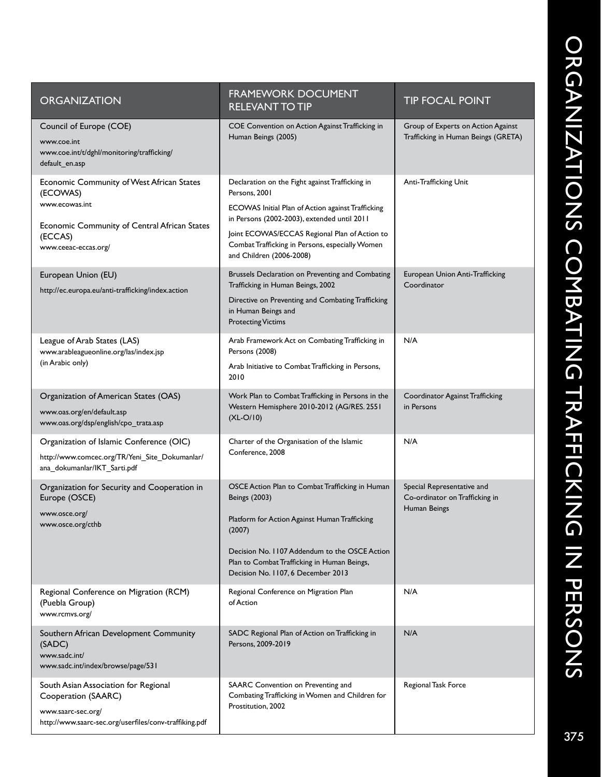| E                   |                                                               |
|---------------------|---------------------------------------------------------------|
|                     |                                                               |
| ı                   |                                                               |
|                     |                                                               |
|                     |                                                               |
| Ū                   |                                                               |
| LINU(INU)<br>J<br>ņ | ココフ                                                           |
|                     | J                                                             |
|                     |                                                               |
|                     | ֖֖֖֖֖֖֖ׅ֪ׅ֖ׅ֖ׅ֖ׅ֖֖֧ׅ֖ׅ֖֧֪֪֪֪֪֪֧֖֧֚֚֚֚֚֚֚֚֚֚֚֚֚֚֚֚֚֚֚֬֝֝֝֝֝֝֝֝ |
|                     | $\overline{\phantom{a}}$                                      |
|                     |                                                               |
|                     |                                                               |
| š.                  |                                                               |

| <b>ORGANIZATION</b>                                                                                                                                        | <b>FRAMEWORK DOCUMENT</b><br><b>RELEVANT TO TIP</b>                                                                                                                                                                                                                                                  | <b>TIP FOCAL POINT</b>                                                       |
|------------------------------------------------------------------------------------------------------------------------------------------------------------|------------------------------------------------------------------------------------------------------------------------------------------------------------------------------------------------------------------------------------------------------------------------------------------------------|------------------------------------------------------------------------------|
| Council of Europe (COE)<br>www.coe.int<br>www.coe.int/t/dghl/monitoring/trafficking/<br>default_en.asp                                                     | COE Convention on Action Against Trafficking in<br>Human Beings (2005)                                                                                                                                                                                                                               | Group of Experts on Action Against<br>Trafficking in Human Beings (GRETA)    |
| Economic Community of West African States<br>(ECOWAS)<br>www.ecowas.int<br>Economic Community of Central African States<br>(ECCAS)<br>www.ceeac-eccas.org/ | Declaration on the Fight against Trafficking in<br>Persons, 2001<br>ECOWAS Initial Plan of Action against Trafficking<br>in Persons (2002-2003), extended until 2011<br>Joint ECOWAS/ECCAS Regional Plan of Action to<br>Combat Trafficking in Persons, especially Women<br>and Children (2006-2008) | Anti-Trafficking Unit                                                        |
| European Union (EU)<br>http://ec.europa.eu/anti-trafficking/index.action                                                                                   | Brussels Declaration on Preventing and Combating<br>Trafficking in Human Beings, 2002<br>Directive on Preventing and Combating Trafficking<br>in Human Beings and<br><b>Protecting Victims</b>                                                                                                       | European Union Anti-Trafficking<br>Coordinator                               |
| League of Arab States (LAS)<br>www.arableagueonline.org/las/index.jsp<br>(in Arabic only)                                                                  | Arab Framework Act on Combating Trafficking in<br>Persons (2008)<br>Arab Initiative to Combat Trafficking in Persons,<br>2010                                                                                                                                                                        | N/A                                                                          |
| Organization of American States (OAS)<br>www.oas.org/en/default.asp<br>www.oas.org/dsp/english/cpo_trata.asp                                               | Work Plan to Combat Trafficking in Persons in the<br>Western Hemisphere 2010-2012 (AG/RES. 2551<br>$(XL-O/10)$                                                                                                                                                                                       | Coordinator Against Trafficking<br>in Persons                                |
| Organization of Islamic Conference (OIC)<br>http://www.comcec.org/TR/Yeni Site Dokumanlar/<br>ana_dokumanlar/IKT_Sarti.pdf                                 | Charter of the Organisation of the Islamic<br>Conference, 2008                                                                                                                                                                                                                                       | N/A                                                                          |
| Organization for Security and Cooperation in<br>Europe (OSCE)<br>www.osce.org/<br>www.osce.org/cthb                                                        | OSCE Action Plan to Combat Trafficking in Human<br>Beings (2003)<br>Platform for Action Against Human Trafficking<br>(2007)<br>Decision No. 1107 Addendum to the OSCE Action<br>Plan to Combat Trafficking in Human Beings,<br>Decision No. 1107, 6 December 2013                                    | Special Representative and<br>Co-ordinator on Trafficking in<br>Human Beings |
| Regional Conference on Migration (RCM)<br>(Puebla Group)<br>www.rcmvs.org/                                                                                 | Regional Conference on Migration Plan<br>of Action                                                                                                                                                                                                                                                   | N/A                                                                          |
| Southern African Development Community<br>(SADC)<br>www.sadc.int/<br>www.sadc.int/index/browse/page/531                                                    | SADC Regional Plan of Action on Trafficking in<br>Persons, 2009-2019                                                                                                                                                                                                                                 | N/A                                                                          |
| South Asian Association for Regional<br>Cooperation (SAARC)<br>www.saarc-sec.org/<br>http://www.saarc-sec.org/userfiles/conv-traffiking.pdf                | SAARC Convention on Preventing and<br>Combating Trafficking in Women and Children for<br>Prostitution, 2002                                                                                                                                                                                          | Regional Task Force                                                          |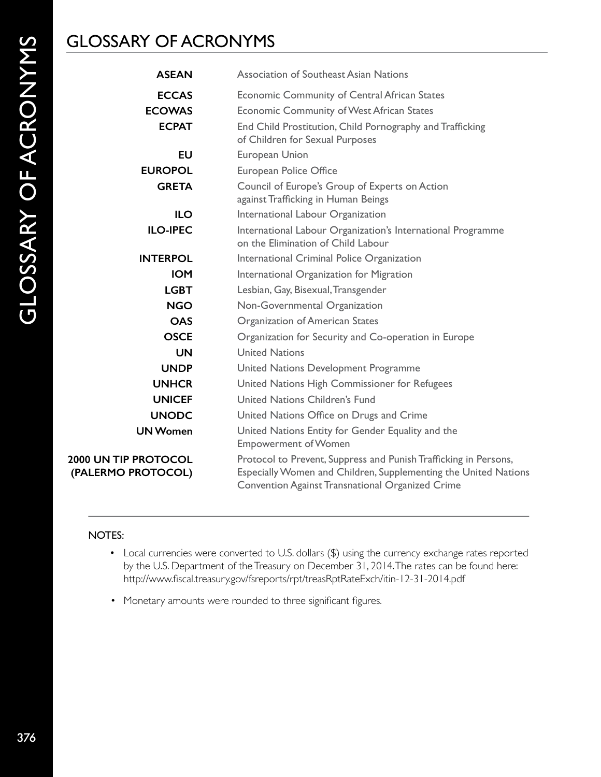## GLOSSARY OF ACRONYMS

| <b>ASEAN</b>                                  | Association of Southeast Asian Nations                                                                                                                                                           |
|-----------------------------------------------|--------------------------------------------------------------------------------------------------------------------------------------------------------------------------------------------------|
| <b>ECCAS</b><br><b>ECOWAS</b><br><b>ECPAT</b> | Economic Community of Central African States<br><b>Economic Community of West African States</b><br>End Child Prostitution, Child Pornography and Trafficking<br>of Children for Sexual Purposes |
| <b>EU</b><br><b>EUROPOL</b>                   | European Union<br>European Police Office                                                                                                                                                         |
| <b>GRETA</b>                                  | Council of Europe's Group of Experts on Action<br>against Trafficking in Human Beings                                                                                                            |
| <b>ILO</b>                                    | International Labour Organization                                                                                                                                                                |
| <b>ILO-IPEC</b>                               | International Labour Organization's International Programme<br>on the Elimination of Child Labour                                                                                                |
| <b>INTERPOL</b>                               | International Criminal Police Organization                                                                                                                                                       |
| <b>IOM</b>                                    | International Organization for Migration                                                                                                                                                         |
| <b>LGBT</b>                                   | Lesbian, Gay, Bisexual, Transgender                                                                                                                                                              |
| <b>NGO</b>                                    | Non-Governmental Organization                                                                                                                                                                    |
| <b>OAS</b>                                    | Organization of American States                                                                                                                                                                  |
| <b>OSCE</b>                                   | Organization for Security and Co-operation in Europe                                                                                                                                             |
| <b>UN</b>                                     | <b>United Nations</b>                                                                                                                                                                            |
| <b>UNDP</b>                                   | United Nations Development Programme                                                                                                                                                             |
| <b>UNHCR</b>                                  | United Nations High Commissioner for Refugees                                                                                                                                                    |
| <b>UNICEF</b>                                 | United Nations Children's Fund                                                                                                                                                                   |
| <b>UNODC</b>                                  | United Nations Office on Drugs and Crime                                                                                                                                                         |
| <b>UN Women</b>                               | United Nations Entity for Gender Equality and the<br><b>Empowerment of Women</b>                                                                                                                 |
| 2000 UN TIP PROTOCOL<br>(PALERMO PROTOCOL)    | Protocol to Prevent, Suppress and Punish Trafficking in Persons,<br>Especially Women and Children, Supplementing the United Nations<br><b>Convention Against Transnational Organized Crime</b>   |

### NOTES:

- Local currencies were converted to U.S. dollars (\$) using the currency exchange rates reported by the U.S. Department of the Treasury on December 31, 2014. The rates can be found here: http://www.fiscal.treasury.gov/fsreports/rpt/treasRptRateExch/itin-12-31-2014.pdf
- Monetary amounts were rounded to three significant figures.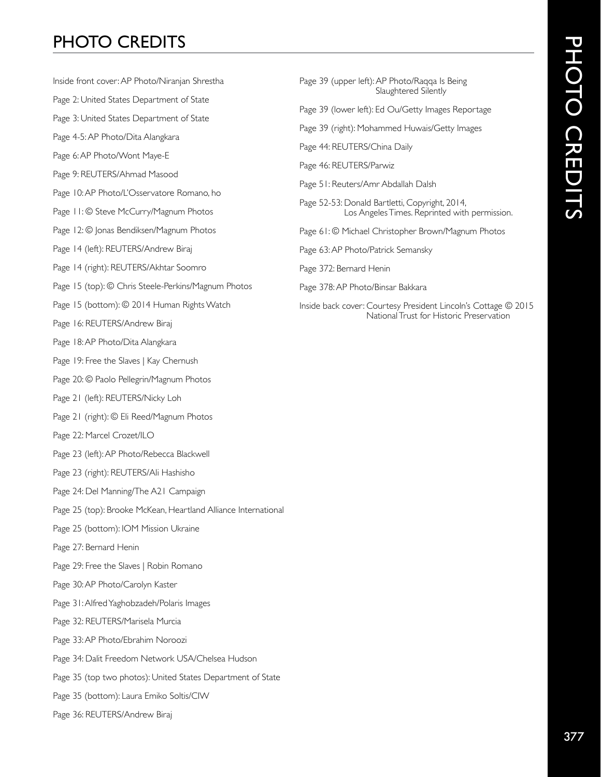# 377 PHOTO CREDITS PHOTO CREDITS

# PHOTO CREDITS

- Inside front cover: AP Photo/Niranjan Shrestha
- Page 2: United States Department of State
- Page 3: United States Department of State
- Page 4-5: AP Photo/Dita Alangkara
- Page 6: AP Photo/Wont Maye-E
- Page 9: REUTERS/Ahmad Masood
- Page 10: AP Photo/L'Osservatore Romano, ho
- Page 11: © Steve McCurry/Magnum Photos
- Page 12: © Jonas Bendiksen/Magnum Photos
- Page 14 (left): REUTERS/Andrew Biraj
- Page 14 (right): REUTERS/Akhtar Soomro
- Page 15 (top): © Chris Steele-Perkins/Magnum Photos
- Page 15 (bottom): © 2014 Human Rights Watch
- Page 16: REUTERS/Andrew Biraj
- Page 18: AP Photo/Dita Alangkara
- Page 19: Free the Slaves | Kay Chernush
- Page 20: © Paolo Pellegrin/Magnum Photos
- Page 21 (left): REUTERS/Nicky Loh
- Page 21 (right): © Eli Reed/Magnum Photos
- Page 22: Marcel Crozet/ILO
- Page 23 (left): AP Photo/Rebecca Blackwell
- Page 23 (right): REUTERS/Ali Hashisho
- Page 24: Del Manning/The A21 Campaign
- Page 25 (top): Brooke McKean, Heartland Alliance International
- Page 25 (bottom): IOM Mission Ukraine
- Page 27: Bernard Henin
- Page 29: Free the Slaves | Robin Romano
- Page 30: AP Photo/Carolyn Kaster
- Page 31: Alfred Yaghobzadeh/Polaris Images
- Page 32: REUTERS/Marisela Murcia
- Page 33: AP Photo/Ebrahim Noroozi
- Page 34: Dalit Freedom Network USA/Chelsea Hudson
- Page 35 (top two photos): United States Department of State
- Page 35 (bottom): Laura Emiko Soltis/CIW
- Page 36: REUTERS/Andrew Biraj
- Page 39 (upper left): AP Photo/Raqqa Is Being Slaughtered Silently
- Page 39 (lower left): Ed Ou/Getty Images Reportage
- Page 39 (right): Mohammed Huwais/Getty Images
- Page 44: REUTERS/China Daily
- Page 46: REUTERS/Parwiz
- Page 51: Reuters/Amr Abdallah Dalsh
- Page 52-53: Donald Bartletti, Copyright, 2014, Los Angeles Times. Reprinted with permission.
- Page 61: © Michael Christopher Brown/Magnum Photos
- Page 63: AP Photo/Patrick Semansky
- Page 372: Bernard Henin
- Page 378: AP Photo/Binsar Bakkara
- Inside back cover: Courtesy President Lincoln's Cottage © 2015 National Trust for Historic Preservation